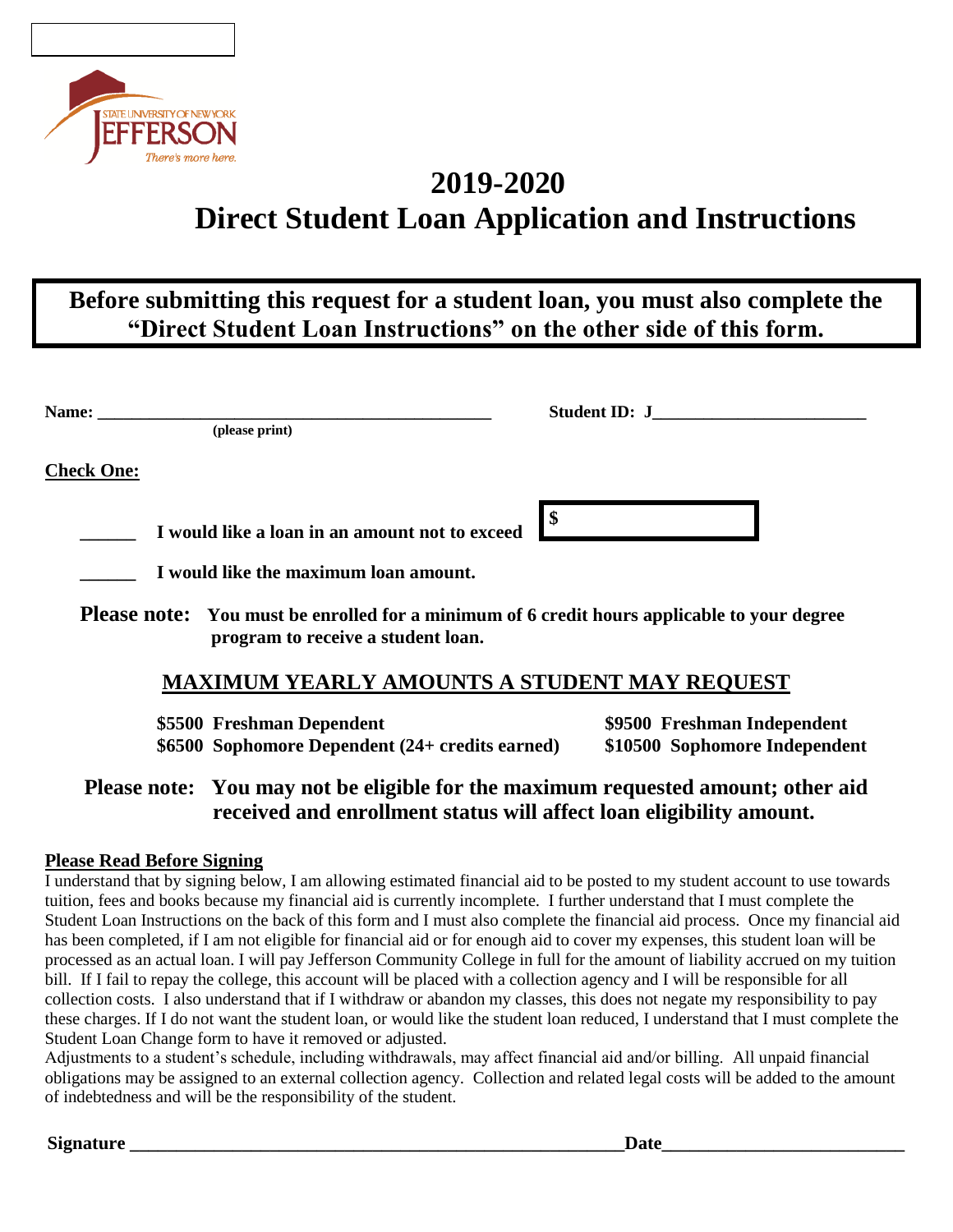

## **2019-2020 Direct Student Loan Application and Instructions**

### **Before submitting this request for a student loan, you must also complete the "Direct Student Loan Instructions" on the other side of this form.**

| Name:                                                                                                                                    |                                                     | Student ID: J |
|------------------------------------------------------------------------------------------------------------------------------------------|-----------------------------------------------------|---------------|
|                                                                                                                                          | (please print)                                      |               |
| <b>Check One:</b>                                                                                                                        |                                                     |               |
|                                                                                                                                          | I would like a loan in an amount not to exceed      |               |
|                                                                                                                                          | I would like the maximum loan amount.               |               |
| <b>Please note:</b> You must be enrolled for a minimum of 6 credit hours applicable to your degree<br>program to receive a student loan. |                                                     |               |
|                                                                                                                                          | <b>MAXIMUM YEARLY AMOUNTS A STUDENT MAY REQUEST</b> |               |

**\$5500 Freshman Dependent \$9500 Freshman Independent \$6500 Sophomore Dependent (24+ credits earned) \$10500 Sophomore Independent**

### **Please note: You may not be eligible for the maximum requested amount; other aid received and enrollment status will affect loan eligibility amount.**

#### **Please Read Before Signing**

I understand that by signing below, I am allowing estimated financial aid to be posted to my student account to use towards tuition, fees and books because my financial aid is currently incomplete. I further understand that I must complete the Student Loan Instructions on the back of this form and I must also complete the financial aid process. Once my financial aid has been completed, if I am not eligible for financial aid or for enough aid to cover my expenses, this student loan will be processed as an actual loan. I will pay Jefferson Community College in full for the amount of liability accrued on my tuition bill. If I fail to repay the college, this account will be placed with a collection agency and I will be responsible for all collection costs. I also understand that if I withdraw or abandon my classes, this does not negate my responsibility to pay these charges. If I do not want the student loan, or would like the student loan reduced, I understand that I must complete the Student Loan Change form to have it removed or adjusted.

Adjustments to a student's schedule, including withdrawals, may affect financial aid and/or billing. All unpaid financial obligations may be assigned to an external collection agency. Collection and related legal costs will be added to the amount of indebtedness and will be the responsibility of the student.

**Signature \_\_\_\_\_\_\_\_\_\_\_\_\_\_\_\_\_\_\_\_\_\_\_\_\_\_\_\_\_\_\_\_\_\_\_\_\_\_\_\_\_\_\_\_\_\_\_\_\_\_\_\_\_Date\_\_\_\_\_\_\_\_\_\_\_\_\_\_\_\_\_\_\_\_\_\_\_\_\_\_**